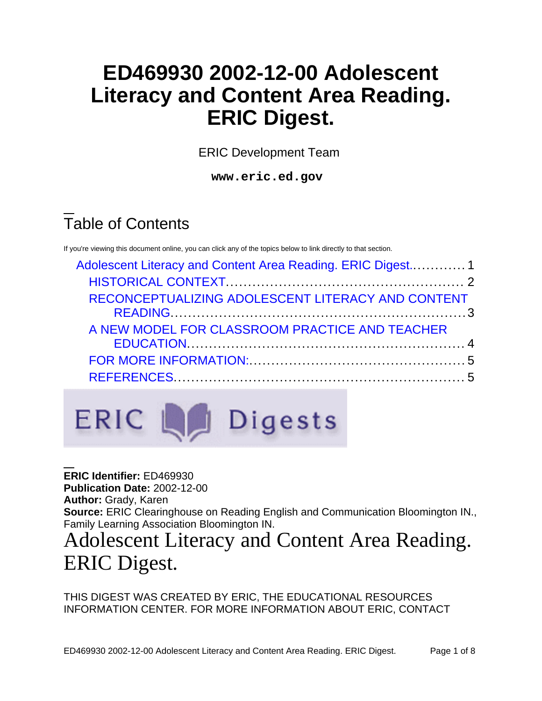# **ED469930 2002-12-00 Adolescent Literacy and Content Area Reading. ERIC Digest.**

ERIC Development Team

**www.eric.ed.gov**

# Table of Contents

If you're viewing this document online, you can click any of the topics below to link directly to that section.

| Adolescent Literacy and Content Area Reading. ERIC Digest 1 |  |
|-------------------------------------------------------------|--|
|                                                             |  |
| RECONCEPTUALIZING ADOLESCENT LITERACY AND CONTENT           |  |
| A NEW MODEL FOR CLASSROOM PRACTICE AND TEACHER              |  |
|                                                             |  |
|                                                             |  |



**ERIC Identifier:** ED469930 **Publication Date:** 2002-12-00 **Author:** Grady, Karen **Source:** ERIC Clearinghouse on Reading English and Communication Bloomington IN., Family Learning Association Bloomington IN.

# <span id="page-0-0"></span>Adolescent Literacy and Content Area Reading. ERIC Digest.

THIS DIGEST WAS CREATED BY ERIC, THE EDUCATIONAL RESOURCES INFORMATION CENTER. FOR MORE INFORMATION ABOUT ERIC, CONTACT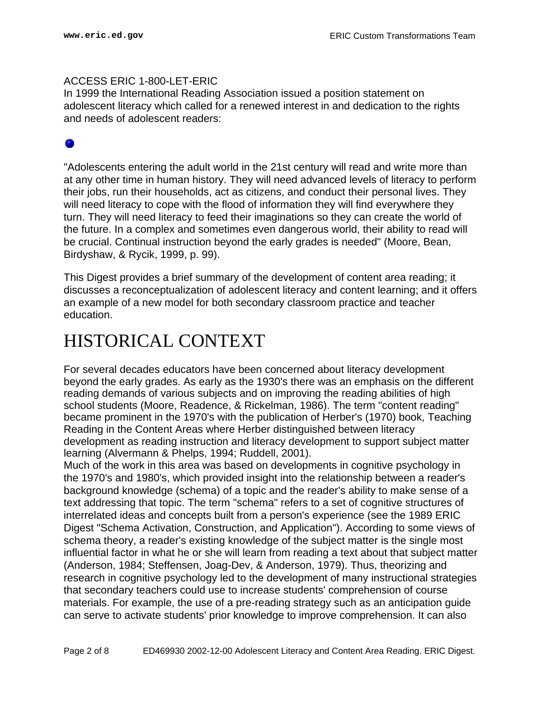#### ACCESS ERIC 1-800-LET-ERIC

In 1999 the International Reading Association issued a position statement on adolescent literacy which called for a renewed interest in and dedication to the rights and needs of adolescent readers:

"Adolescents entering the adult world in the 21st century will read and write more than at any other time in human history. They will need advanced levels of literacy to perform their jobs, run their households, act as citizens, and conduct their personal lives. They will need literacy to cope with the flood of information they will find everywhere they turn. They will need literacy to feed their imaginations so they can create the world of the future. In a complex and sometimes even dangerous world, their ability to read will be crucial. Continual instruction beyond the early grades is needed" (Moore, Bean, Birdyshaw, & Rycik, 1999, p. 99).

This Digest provides a brief summary of the development of content area reading; it discusses a reconceptualization of adolescent literacy and content learning; and it offers an example of a new model for both secondary classroom practice and teacher education.

#### <span id="page-1-0"></span>HISTORICAL CONTEXT

For several decades educators have been concerned about literacy development beyond the early grades. As early as the 1930's there was an emphasis on the different reading demands of various subjects and on improving the reading abilities of high school students (Moore, Readence, & Rickelman, 1986). The term "content reading" became prominent in the 1970's with the publication of Herber's (1970) book, Teaching Reading in the Content Areas where Herber distinguished between literacy development as reading instruction and literacy development to support subject matter learning (Alvermann & Phelps, 1994; Ruddell, 2001).

Much of the work in this area was based on developments in cognitive psychology in the 1970's and 1980's, which provided insight into the relationship between a reader's background knowledge (schema) of a topic and the reader's ability to make sense of a text addressing that topic. The term "schema" refers to a set of cognitive structures of interrelated ideas and concepts built from a person's experience (see the 1989 ERIC Digest "Schema Activation, Construction, and Application"). According to some views of schema theory, a reader's existing knowledge of the subject matter is the single most influential factor in what he or she will learn from reading a text about that subject matter (Anderson, 1984; Steffensen, Joag-Dev, & Anderson, 1979). Thus, theorizing and research in cognitive psychology led to the development of many instructional strategies that secondary teachers could use to increase students' comprehension of course materials. For example, the use of a pre-reading strategy such as an anticipation guide can serve to activate students' prior knowledge to improve comprehension. It can also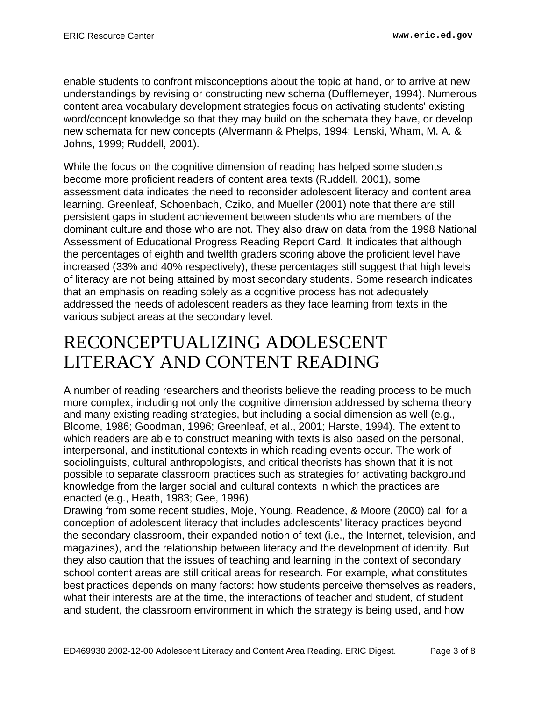enable students to confront misconceptions about the topic at hand, or to arrive at new understandings by revising or constructing new schema (Dufflemeyer, 1994). Numerous content area vocabulary development strategies focus on activating students' existing word/concept knowledge so that they may build on the schemata they have, or develop new schemata for new concepts (Alvermann & Phelps, 1994; Lenski, Wham, M. A. & Johns, 1999; Ruddell, 2001).

While the focus on the cognitive dimension of reading has helped some students become more proficient readers of content area texts (Ruddell, 2001), some assessment data indicates the need to reconsider adolescent literacy and content area learning. Greenleaf, Schoenbach, Cziko, and Mueller (2001) note that there are still persistent gaps in student achievement between students who are members of the dominant culture and those who are not. They also draw on data from the 1998 National Assessment of Educational Progress Reading Report Card. It indicates that although the percentages of eighth and twelfth graders scoring above the proficient level have increased (33% and 40% respectively), these percentages still suggest that high levels of literacy are not being attained by most secondary students. Some research indicates that an emphasis on reading solely as a cognitive process has not adequately addressed the needs of adolescent readers as they face learning from texts in the various subject areas at the secondary level.

### <span id="page-2-0"></span>RECONCEPTUALIZING ADOLESCENT LITERACY AND CONTENT READING

A number of reading researchers and theorists believe the reading process to be much more complex, including not only the cognitive dimension addressed by schema theory and many existing reading strategies, but including a social dimension as well (e.g., Bloome, 1986; Goodman, 1996; Greenleaf, et al., 2001; Harste, 1994). The extent to which readers are able to construct meaning with texts is also based on the personal, interpersonal, and institutional contexts in which reading events occur. The work of sociolinguists, cultural anthropologists, and critical theorists has shown that it is not possible to separate classroom practices such as strategies for activating background knowledge from the larger social and cultural contexts in which the practices are enacted (e.g., Heath, 1983; Gee, 1996).

Drawing from some recent studies, Moje, Young, Readence, & Moore (2000) call for a conception of adolescent literacy that includes adolescents' literacy practices beyond the secondary classroom, their expanded notion of text (i.e., the Internet, television, and magazines), and the relationship between literacy and the development of identity. But they also caution that the issues of teaching and learning in the context of secondary school content areas are still critical areas for research. For example, what constitutes best practices depends on many factors: how students perceive themselves as readers, what their interests are at the time, the interactions of teacher and student, of student and student, the classroom environment in which the strategy is being used, and how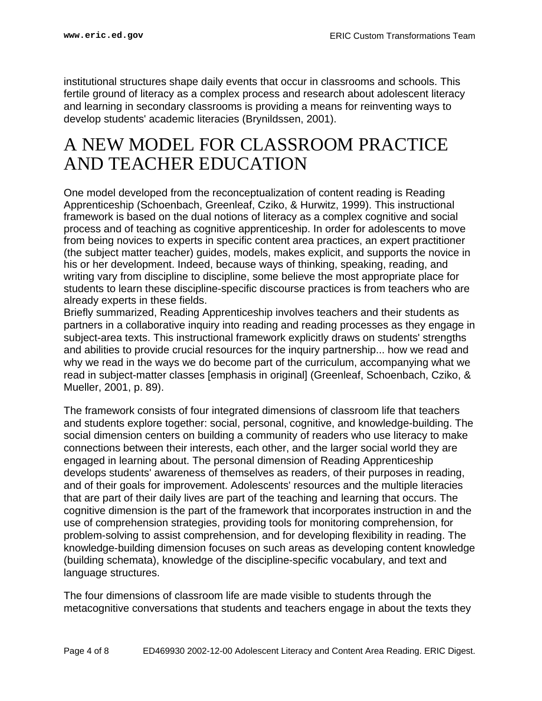institutional structures shape daily events that occur in classrooms and schools. This fertile ground of literacy as a complex process and research about adolescent literacy and learning in secondary classrooms is providing a means for reinventing ways to develop students' academic literacies (Brynildssen, 2001).

### <span id="page-3-0"></span>A NEW MODEL FOR CLASSROOM PRACTICE AND TEACHER EDUCATION

One model developed from the reconceptualization of content reading is Reading Apprenticeship (Schoenbach, Greenleaf, Cziko, & Hurwitz, 1999). This instructional framework is based on the dual notions of literacy as a complex cognitive and social process and of teaching as cognitive apprenticeship. In order for adolescents to move from being novices to experts in specific content area practices, an expert practitioner (the subject matter teacher) guides, models, makes explicit, and supports the novice in his or her development. Indeed, because ways of thinking, speaking, reading, and writing vary from discipline to discipline, some believe the most appropriate place for students to learn these discipline-specific discourse practices is from teachers who are already experts in these fields.

Briefly summarized, Reading Apprenticeship involves teachers and their students as partners in a collaborative inquiry into reading and reading processes as they engage in subject-area texts. This instructional framework explicitly draws on students' strengths and abilities to provide crucial resources for the inquiry partnership... how we read and why we read in the ways we do become part of the curriculum, accompanying what we read in subject-matter classes [emphasis in original] (Greenleaf, Schoenbach, Cziko, & Mueller, 2001, p. 89).

The framework consists of four integrated dimensions of classroom life that teachers and students explore together: social, personal, cognitive, and knowledge-building. The social dimension centers on building a community of readers who use literacy to make connections between their interests, each other, and the larger social world they are engaged in learning about. The personal dimension of Reading Apprenticeship develops students' awareness of themselves as readers, of their purposes in reading, and of their goals for improvement. Adolescents' resources and the multiple literacies that are part of their daily lives are part of the teaching and learning that occurs. The cognitive dimension is the part of the framework that incorporates instruction in and the use of comprehension strategies, providing tools for monitoring comprehension, for problem-solving to assist comprehension, and for developing flexibility in reading. The knowledge-building dimension focuses on such areas as developing content knowledge (building schemata), knowledge of the discipline-specific vocabulary, and text and language structures.

The four dimensions of classroom life are made visible to students through the metacognitive conversations that students and teachers engage in about the texts they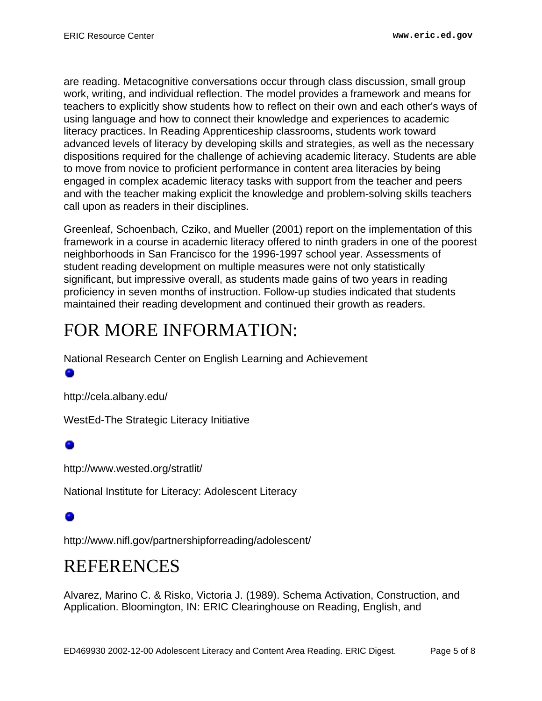are reading. Metacognitive conversations occur through class discussion, small group work, writing, and individual reflection. The model provides a framework and means for teachers to explicitly show students how to reflect on their own and each other's ways of using language and how to connect their knowledge and experiences to academic literacy practices. In Reading Apprenticeship classrooms, students work toward advanced levels of literacy by developing skills and strategies, as well as the necessary dispositions required for the challenge of achieving academic literacy. Students are able to move from novice to proficient performance in content area literacies by being engaged in complex academic literacy tasks with support from the teacher and peers and with the teacher making explicit the knowledge and problem-solving skills teachers call upon as readers in their disciplines.

Greenleaf, Schoenbach, Cziko, and Mueller (2001) report on the implementation of this framework in a course in academic literacy offered to ninth graders in one of the poorest neighborhoods in San Francisco for the 1996-1997 school year. Assessments of student reading development on multiple measures were not only statistically significant, but impressive overall, as students made gains of two years in reading proficiency in seven months of instruction. Follow-up studies indicated that students maintained their reading development and continued their growth as readers.

## <span id="page-4-0"></span>FOR MORE INFORMATION:

National Research Center on English Learning and Achievement

۰

http://cela.albany.edu/

WestEd-The Strategic Literacy Initiative

http://www.wested.org/stratlit/

National Institute for Literacy: Adolescent Literacy

http://www.nifl.gov/partnershipforreading/adolescent/

### <span id="page-4-1"></span>REFERENCES

Alvarez, Marino C. & Risko, Victoria J. (1989). Schema Activation, Construction, and Application. Bloomington, IN: ERIC Clearinghouse on Reading, English, and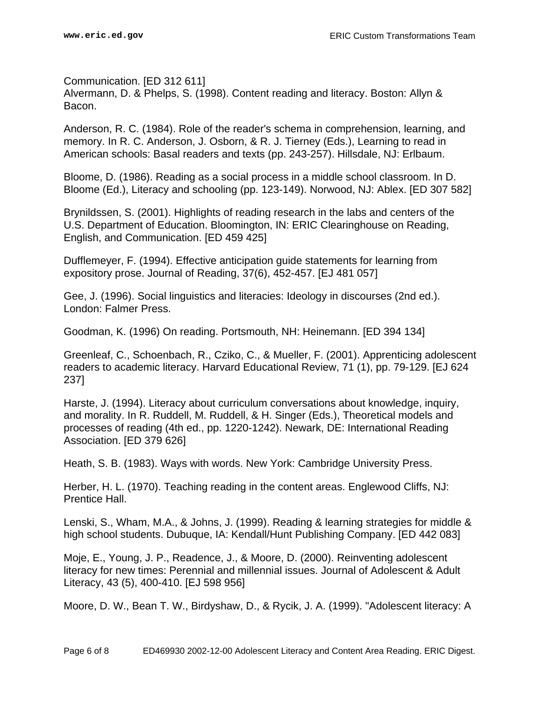Communication. [ED 312 611] Alvermann, D. & Phelps, S. (1998). Content reading and literacy. Boston: Allyn & Bacon.

Anderson, R. C. (1984). Role of the reader's schema in comprehension, learning, and memory. In R. C. Anderson, J. Osborn, & R. J. Tierney (Eds.), Learning to read in American schools: Basal readers and texts (pp. 243-257). Hillsdale, NJ: Erlbaum.

Bloome, D. (1986). Reading as a social process in a middle school classroom. In D. Bloome (Ed.), Literacy and schooling (pp. 123-149). Norwood, NJ: Ablex. [ED 307 582]

Brynildssen, S. (2001). Highlights of reading research in the labs and centers of the U.S. Department of Education. Bloomington, IN: ERIC Clearinghouse on Reading, English, and Communication. [ED 459 425]

Dufflemeyer, F. (1994). Effective anticipation guide statements for learning from expository prose. Journal of Reading, 37(6), 452-457. [EJ 481 057]

Gee, J. (1996). Social linguistics and literacies: Ideology in discourses (2nd ed.). London: Falmer Press.

Goodman, K. (1996) On reading. Portsmouth, NH: Heinemann. [ED 394 134]

Greenleaf, C., Schoenbach, R., Cziko, C., & Mueller, F. (2001). Apprenticing adolescent readers to academic literacy. Harvard Educational Review, 71 (1), pp. 79-129. [EJ 624 237]

Harste, J. (1994). Literacy about curriculum conversations about knowledge, inquiry, and morality. In R. Ruddell, M. Ruddell, & H. Singer (Eds.), Theoretical models and processes of reading (4th ed., pp. 1220-1242). Newark, DE: International Reading Association. [ED 379 626]

Heath, S. B. (1983). Ways with words. New York: Cambridge University Press.

Herber, H. L. (1970). Teaching reading in the content areas. Englewood Cliffs, NJ: Prentice Hall.

Lenski, S., Wham, M.A., & Johns, J. (1999). Reading & learning strategies for middle & high school students. Dubuque, IA: Kendall/Hunt Publishing Company. [ED 442 083]

Moje, E., Young, J. P., Readence, J., & Moore, D. (2000). Reinventing adolescent literacy for new times: Perennial and millennial issues. Journal of Adolescent & Adult Literacy, 43 (5), 400-410. [EJ 598 956]

Moore, D. W., Bean T. W., Birdyshaw, D., & Rycik, J. A. (1999). "Adolescent literacy: A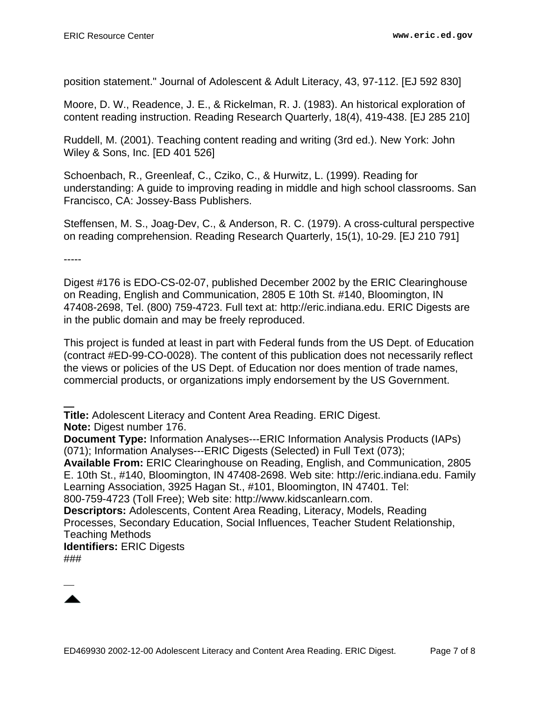position statement." Journal of Adolescent & Adult Literacy, 43, 97-112. [EJ 592 830]

Moore, D. W., Readence, J. E., & Rickelman, R. J. (1983). An historical exploration of content reading instruction. Reading Research Quarterly, 18(4), 419-438. [EJ 285 210]

Ruddell, M. (2001). Teaching content reading and writing (3rd ed.). New York: John Wiley & Sons, Inc. [ED 401 526]

Schoenbach, R., Greenleaf, C., Cziko, C., & Hurwitz, L. (1999). Reading for understanding: A guide to improving reading in middle and high school classrooms. San Francisco, CA: Jossey-Bass Publishers.

Steffensen, M. S., Joag-Dev, C., & Anderson, R. C. (1979). A cross-cultural perspective on reading comprehension. Reading Research Quarterly, 15(1), 10-29. [EJ 210 791]

-----

Digest #176 is EDO-CS-02-07, published December 2002 by the ERIC Clearinghouse on Reading, English and Communication, 2805 E 10th St. #140, Bloomington, IN 47408-2698, Tel. (800) 759-4723. Full text at: http://eric.indiana.edu. ERIC Digests are in the public domain and may be freely reproduced.

This project is funded at least in part with Federal funds from the US Dept. of Education (contract #ED-99-CO-0028). The content of this publication does not necessarily reflect the views or policies of the US Dept. of Education nor does mention of trade names, commercial products, or organizations imply endorsement by the US Government.

**Title:** Adolescent Literacy and Content Area Reading. ERIC Digest. **Note:** Digest number 176.

**Document Type:** Information Analyses---ERIC Information Analysis Products (IAPs) (071); Information Analyses---ERIC Digests (Selected) in Full Text (073);

**Available From:** ERIC Clearinghouse on Reading, English, and Communication, 2805 E. 10th St., #140, Bloomington, IN 47408-2698. Web site: http://eric.indiana.edu. Family Learning Association, 3925 Hagan St., #101, Bloomington, IN 47401. Tel:

800-759-4723 (Toll Free); Web site: http://www.kidscanlearn.com.

**Descriptors:** Adolescents, Content Area Reading, Literacy, Models, Reading Processes, Secondary Education, Social Influences, Teacher Student Relationship, Teaching Methods

**Identifiers:** ERIC Digests ###